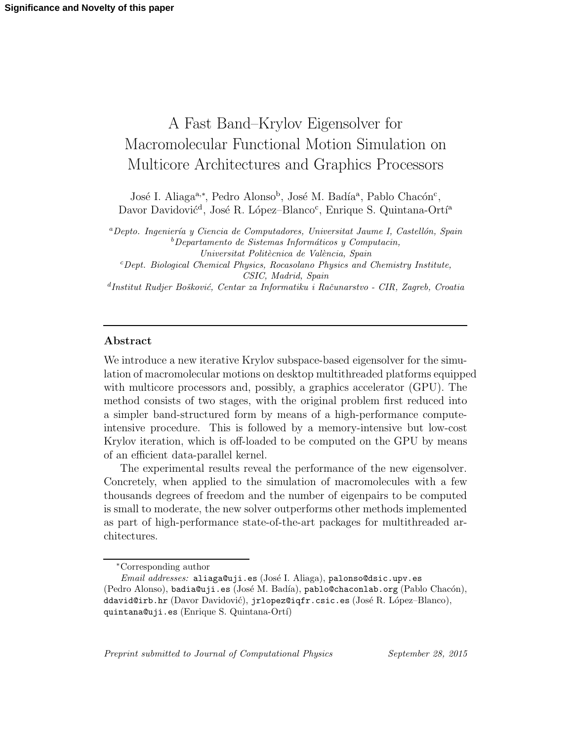# A Fast Band–Krylov Eigensolver for Macromolecular Functional Motion Simulation on Multicore Architectures and Graphics Processors

José I. Aliaga<sup>a,∗</sup>, Pedro Alonso<sup>b</sup>, José M. Badía<sup>a</sup>, Pablo Chacón<sup>c</sup>, Davor Davidović<sup>d</sup>, José R. López–Blanco<sup>c</sup>, Enrique S. Quintana-Ortí<sup>a</sup>

 $a$ Depto. Ingeniería y Ciencia de Computadores, Universitat Jaume I, Castellón, Spain  $b$ Departamento de Sistemas Informáticos y Computacin, Universitat Politècnica de València, Spain <sup>c</sup>Dept. Biological Chemical Physics, Rocasolano Physics and Chemistry Institute,

CSIC, Madrid, Spain

<sup>d</sup>Institut Rudjer Bošković, Centar za Informatiku i Računarstvo - CIR, Zagreb, Croatia

# Abstract

We introduce a new iterative Krylov subspace-based eigensolver for the simulation of macromolecular motions on desktop multithreaded platforms equipped with multicore processors and, possibly, a graphics accelerator (GPU). The method consists of two stages, with the original problem first reduced into a simpler band-structured form by means of a high-performance computeintensive procedure. This is followed by a memory-intensive but low-cost Krylov iteration, which is off-loaded to be computed on the GPU by means of an efficient data-parallel kernel.

The experimental results reveal the performance of the new eigensolver. Concretely, when applied to the simulation of macromolecules with a few thousands degrees of freedom and the number of eigenpairs to be computed is small to moderate, the new solver outperforms other methods implemented as part of high-performance state-of-the-art packages for multithreaded architectures.

Preprint submitted to Journal of Computational Physics September 28, 2015

<sup>∗</sup>Corresponding author

 $Email$   $addresses:$  aliaga@uji.es (José I. Aliaga), palonso@dsic.upv.es (Pedro Alonso), badia@uji.es (José M. Badía), pablo@chaconlab.org (Pablo Chacón), ddavid@irb.hr (Davor Davidović), jrlopez@iqfr.csic.es (José R. López-Blanco), quintana@uji.es (Enrique S. Quintana-Ortí)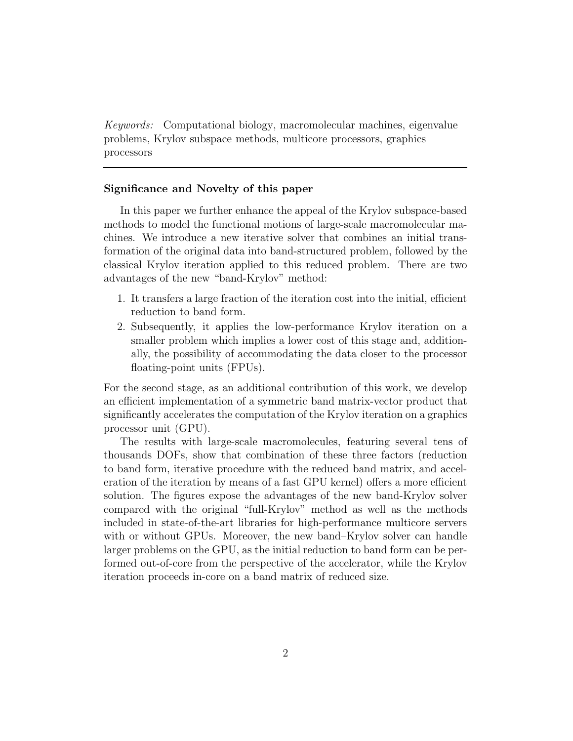Keywords: Computational biology, macromolecular machines, eigenvalue problems, Krylov subspace methods, multicore processors, graphics processors

## Significance and Novelty of this paper

In this paper we further enhance the appeal of the Krylov subspace-based methods to model the functional motions of large-scale macromolecular machines. We introduce a new iterative solver that combines an initial transformation of the original data into band-structured problem, followed by the classical Krylov iteration applied to this reduced problem. There are two advantages of the new "band-Krylov" method:

- 1. It transfers a large fraction of the iteration cost into the initial, efficient reduction to band form.
- 2. Subsequently, it applies the low-performance Krylov iteration on a smaller problem which implies a lower cost of this stage and, additionally, the possibility of accommodating the data closer to the processor floating-point units (FPUs).

For the second stage, as an additional contribution of this work, we develop an efficient implementation of a symmetric band matrix-vector product that significantly accelerates the computation of the Krylov iteration on a graphics processor unit (GPU).

The results with large-scale macromolecules, featuring several tens of thousands DOFs, show that combination of these three factors (reduction to band form, iterative procedure with the reduced band matrix, and acceleration of the iteration by means of a fast GPU kernel) offers a more efficient solution. The figures expose the advantages of the new band-Krylov solver compared with the original "full-Krylov" method as well as the methods included in state-of-the-art libraries for high-performance multicore servers with or without GPUs. Moreover, the new band–Krylov solver can handle larger problems on the GPU, as the initial reduction to band form can be performed out-of-core from the perspective of the accelerator, while the Krylov iteration proceeds in-core on a band matrix of reduced size.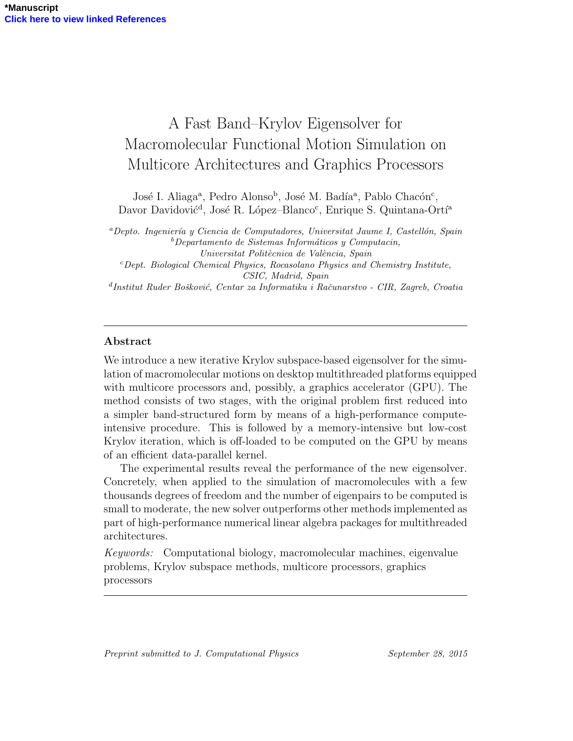# A Fast Band–Krylov Eigensolver for Macromolecular Functional Motion Simulation on Multicore Architectures and Graphics Processors

José I. Aliaga<sup>a</sup>, Pedro Alonso<sup>b</sup>, José M. Badía<sup>a</sup>, Pablo Chacón<sup>c</sup>, Davor Davidović<sup>d</sup>, José R. López–Blanco<sup>c</sup>, Enrique S. Quintana-Ortí<sup>a</sup>

 ${}^a$ Depto. Ingeniería y Ciencia de Computadores, Universitat Jaume I, Castellón, Spain  $b$ Departamento de Sistemas Informáticos y Computacin, Universitat Politècnica de València, Spain <sup>c</sup>Dept. Biological Chemical Physics, Rocasolano Physics and Chemistry Institute,

CSIC, Madrid, Spain

<sup>d</sup>Institut Ruder Bošković, Centar za Informatiku i Računarstvo - CIR, Zagreb, Croatia

# Abstract

We introduce a new iterative Krylov subspace-based eigensolver for the simulation of macromolecular motions on desktop multithreaded platforms equipped with multicore processors and, possibly, a graphics accelerator (GPU). The method consists of two stages, with the original problem first reduced into a simpler band-structured form by means of a high-performance computeintensive procedure. This is followed by a memory-intensive but low-cost Krylov iteration, which is off-loaded to be computed on the GPU by means of an efficient data-parallel kernel.

The experimental results reveal the performance of the new eigensolver. Concretely, when applied to the simulation of macromolecules with a few thousands degrees of freedom and the number of eigenpairs to be computed is small to moderate, the new solver outperforms other methods implemented as part of high-performance numerical linear algebra packages for multithreaded architectures.

Keywords: Computational biology, macromolecular machines, eigenvalue problems, Krylov subspace methods, multicore processors, graphics processors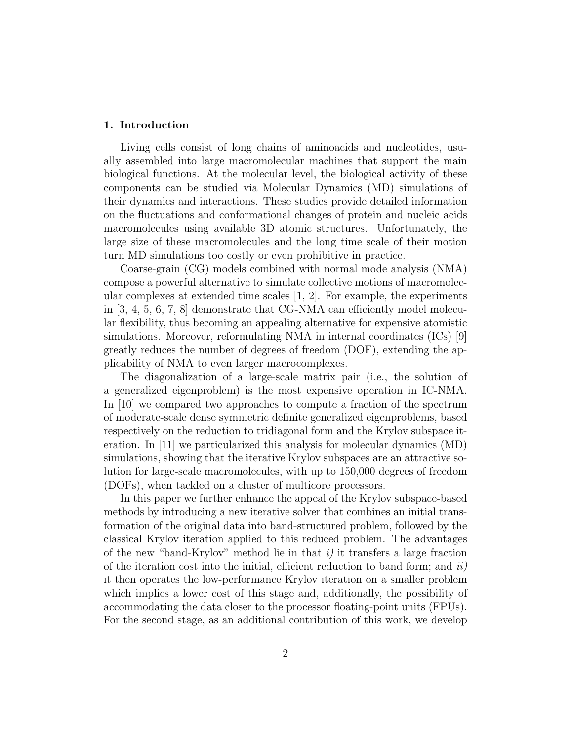### 1. Introduction

Living cells consist of long chains of aminoacids and nucleotides, usually assembled into large macromolecular machines that support the main biological functions. At the molecular level, the biological activity of these components can be studied via Molecular Dynamics (MD) simulations of their dynamics and interactions. These studies provide detailed information on the fluctuations and conformational changes of protein and nucleic acids macromolecules using available 3D atomic structures. Unfortunately, the large size of these macromolecules and the long time scale of their motion turn MD simulations too costly or even prohibitive in practice.

Coarse-grain (CG) models combined with normal mode analysis (NMA) compose a powerful alternative to simulate collective motions of macromolecular complexes at extended time scales  $[1, 2]$ . For example, the experiments in [3, 4, 5, 6, 7, 8] demonstrate that CG-NMA can efficiently model molecular flexibility, thus becoming an appealing alternative for expensive atomistic simulations. Moreover, reformulating NMA in internal coordinates (ICs) [9] greatly reduces the number of degrees of freedom (DOF), extending the applicability of NMA to even larger macrocomplexes.

The diagonalization of a large-scale matrix pair (i.e., the solution of a generalized eigenproblem) is the most expensive operation in IC-NMA. In [10] we compared two approaches to compute a fraction of the spectrum of moderate-scale dense symmetric definite generalized eigenproblems, based respectively on the reduction to tridiagonal form and the Krylov subspace iteration. In [11] we particularized this analysis for molecular dynamics (MD) simulations, showing that the iterative Krylov subspaces are an attractive solution for large-scale macromolecules, with up to 150,000 degrees of freedom (DOFs), when tackled on a cluster of multicore processors.

In this paper we further enhance the appeal of the Krylov subspace-based methods by introducing a new iterative solver that combines an initial transformation of the original data into band-structured problem, followed by the classical Krylov iteration applied to this reduced problem. The advantages of the new "band-Krylov" method lie in that  $i$ ) it transfers a large fraction of the iteration cost into the initial, efficient reduction to band form; and  $ii)$ it then operates the low-performance Krylov iteration on a smaller problem which implies a lower cost of this stage and, additionally, the possibility of accommodating the data closer to the processor floating-point units (FPUs). For the second stage, as an additional contribution of this work, we develop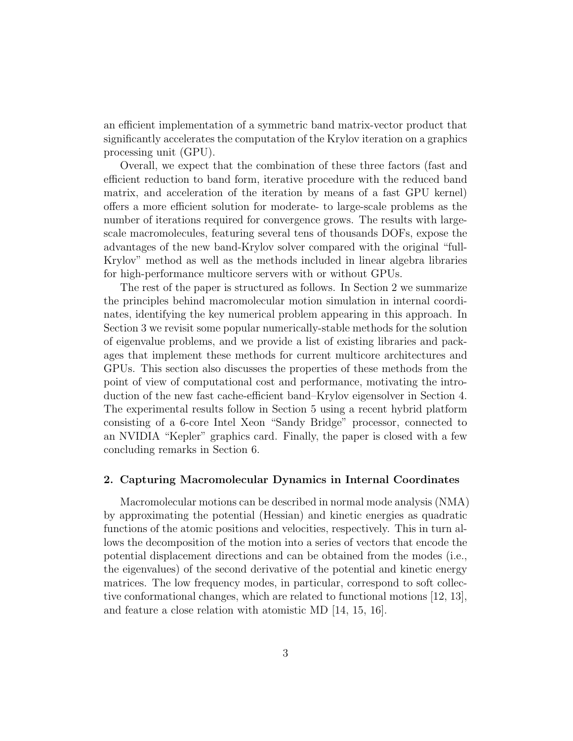an efficient implementation of a symmetric band matrix-vector product that significantly accelerates the computation of the Krylov iteration on a graphics processing unit (GPU).

Overall, we expect that the combination of these three factors (fast and efficient reduction to band form, iterative procedure with the reduced band matrix, and acceleration of the iteration by means of a fast GPU kernel) offers a more efficient solution for moderate- to large-scale problems as the number of iterations required for convergence grows. The results with largescale macromolecules, featuring several tens of thousands DOFs, expose the advantages of the new band-Krylov solver compared with the original "full-Krylov" method as well as the methods included in linear algebra libraries for high-performance multicore servers with or without GPUs.

The rest of the paper is structured as follows. In Section 2 we summarize the principles behind macromolecular motion simulation in internal coordinates, identifying the key numerical problem appearing in this approach. In Section 3 we revisit some popular numerically-stable methods for the solution of eigenvalue problems, and we provide a list of existing libraries and packages that implement these methods for current multicore architectures and GPUs. This section also discusses the properties of these methods from the point of view of computational cost and performance, motivating the introduction of the new fast cache-efficient band–Krylov eigensolver in Section 4. The experimental results follow in Section 5 using a recent hybrid platform consisting of a 6-core Intel Xeon "Sandy Bridge" processor, connected to an NVIDIA "Kepler" graphics card. Finally, the paper is closed with a few concluding remarks in Section 6.

#### 2. Capturing Macromolecular Dynamics in Internal Coordinates

Macromolecular motions can be described in normal mode analysis (NMA) by approximating the potential (Hessian) and kinetic energies as quadratic functions of the atomic positions and velocities, respectively. This in turn allows the decomposition of the motion into a series of vectors that encode the potential displacement directions and can be obtained from the modes (i.e., the eigenvalues) of the second derivative of the potential and kinetic energy matrices. The low frequency modes, in particular, correspond to soft collective conformational changes, which are related to functional motions [12, 13], and feature a close relation with atomistic MD [14, 15, 16].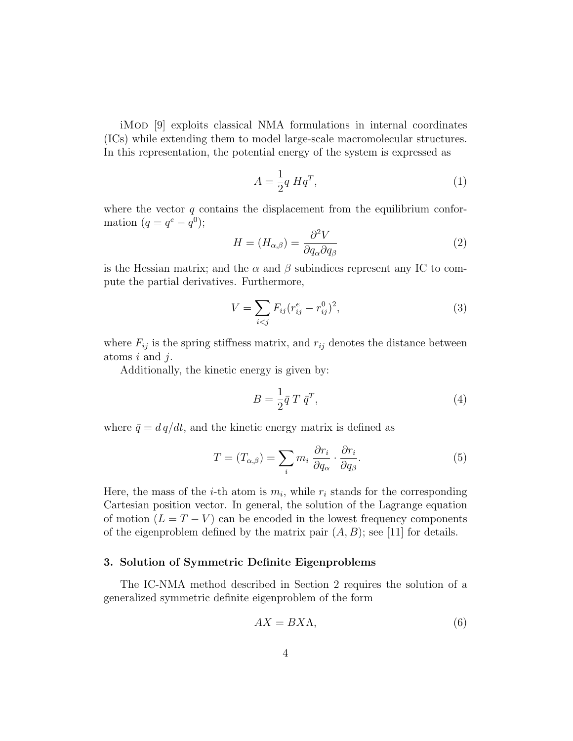iMod [9] exploits classical NMA formulations in internal coordinates (ICs) while extending them to model large-scale macromolecular structures. In this representation, the potential energy of the system is expressed as

$$
A = \frac{1}{2}q Hq^T,
$$
\n<sup>(1)</sup>

where the vector  $q$  contains the displacement from the equilibrium conformation  $(q = q^e - q^0);$ 

$$
H = (H_{\alpha,\beta}) = \frac{\partial^2 V}{\partial q_\alpha \partial q_\beta} \tag{2}
$$

is the Hessian matrix; and the  $\alpha$  and  $\beta$  subindices represent any IC to compute the partial derivatives. Furthermore,

$$
V = \sum_{i < j} F_{ij} (r_{ij}^e - r_{ij}^0)^2,\tag{3}
$$

where  $F_{ij}$  is the spring stiffness matrix, and  $r_{ij}$  denotes the distance between atoms  $i$  and  $j$ .

Additionally, the kinetic energy is given by:

$$
B = \frac{1}{2}\bar{q}T\bar{q}^T,
$$
\n<sup>(4)</sup>

where  $\bar{q} = d q/dt$ , and the kinetic energy matrix is defined as

$$
T = (T_{\alpha,\beta}) = \sum_{i} m_i \frac{\partial r_i}{\partial q_\alpha} \cdot \frac{\partial r_i}{\partial q_\beta}.
$$
 (5)

Here, the mass of the *i*-th atom is  $m_i$ , while  $r_i$  stands for the corresponding Cartesian position vector. In general, the solution of the Lagrange equation of motion  $(L = T - V)$  can be encoded in the lowest frequency components of the eigenproblem defined by the matrix pair  $(A, B)$ ; see [11] for details.

## 3. Solution of Symmetric Definite Eigenproblems

The IC-NMA method described in Section 2 requires the solution of a generalized symmetric definite eigenproblem of the form

$$
AX = BX\Lambda,\tag{6}
$$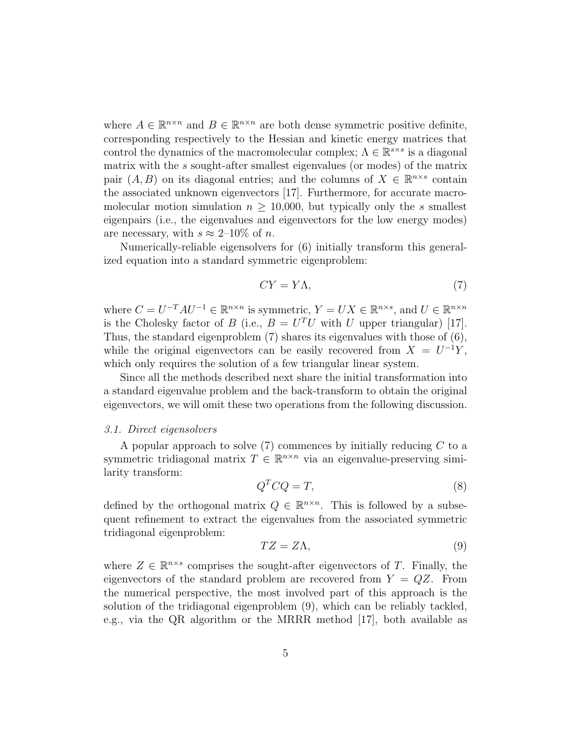where  $A \in \mathbb{R}^{n \times n}$  and  $B \in \mathbb{R}^{n \times n}$  are both dense symmetric positive definite, corresponding respectively to the Hessian and kinetic energy matrices that control the dynamics of the macromolecular complex;  $\Lambda \in \mathbb{R}^{s \times s}$  is a diagonal matrix with the s sought-after smallest eigenvalues (or modes) of the matrix pair  $(A, B)$  on its diagonal entries; and the columns of  $X \in \mathbb{R}^{n \times s}$  contain the associated unknown eigenvectors [17]. Furthermore, for accurate macromolecular motion simulation  $n \geq 10,000$ , but typically only the s smallest eigenpairs (i.e., the eigenvalues and eigenvectors for the low energy modes) are necessary, with  $s \approx 2{\text -}10\%$  of n.

Numerically-reliable eigensolvers for (6) initially transform this generalized equation into a standard symmetric eigenproblem:

$$
CY = Y\Lambda,\tag{7}
$$

where  $C = U^{-T}AU^{-1} \in \mathbb{R}^{n \times n}$  is symmetric,  $Y = UX \in \mathbb{R}^{n \times s}$ , and  $U \in \mathbb{R}^{n \times n}$ is the Cholesky factor of B (i.e.,  $B = U<sup>T</sup>U$  with U upper triangular) [17]. Thus, the standard eigenproblem (7) shares its eigenvalues with those of (6), while the original eigenvectors can be easily recovered from  $X = U^{-1}Y$ , which only requires the solution of a few triangular linear system.

Since all the methods described next share the initial transformation into a standard eigenvalue problem and the back-transform to obtain the original eigenvectors, we will omit these two operations from the following discussion.

#### 3.1. Direct eigensolvers

A popular approach to solve  $(7)$  commences by initially reducing  $C$  to a symmetric tridiagonal matrix  $T \in \mathbb{R}^{n \times n}$  via an eigenvalue-preserving similarity transform:

$$
Q^T C Q = T,\t\t(8)
$$

defined by the orthogonal matrix  $Q \in \mathbb{R}^{n \times n}$ . This is followed by a subsequent refinement to extract the eigenvalues from the associated symmetric tridiagonal eigenproblem:

$$
TZ = Z\Lambda,\tag{9}
$$

where  $Z \in \mathbb{R}^{n \times s}$  comprises the sought-after eigenvectors of T. Finally, the eigenvectors of the standard problem are recovered from  $Y = QZ$ . From the numerical perspective, the most involved part of this approach is the solution of the tridiagonal eigenproblem (9), which can be reliably tackled, e.g., via the QR algorithm or the MRRR method [17], both available as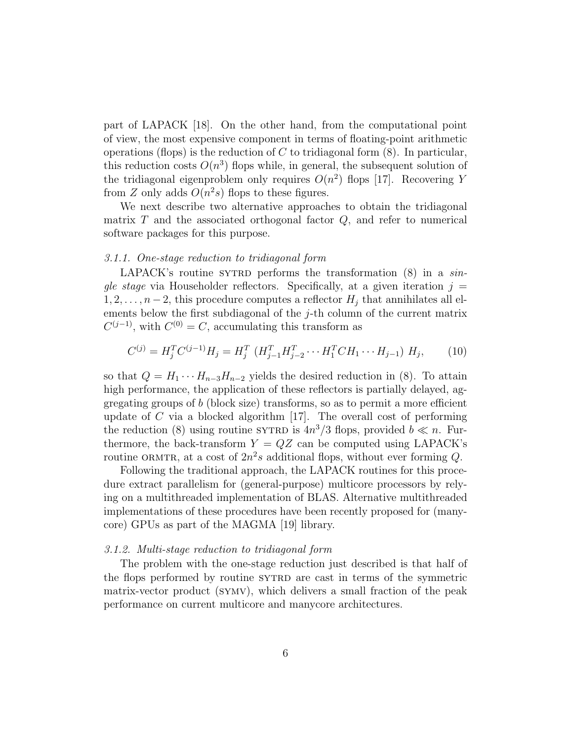part of LAPACK [18]. On the other hand, from the computational point of view, the most expensive component in terms of floating-point arithmetic operations (flops) is the reduction of C to tridiagonal form  $(8)$ . In particular, this reduction costs  $O(n^3)$  flops while, in general, the subsequent solution of the tridiagonal eigenproblem only requires  $O(n^2)$  flops [17]. Recovering Y from Z only adds  $O(n^2s)$  flops to these figures.

We next describe two alternative approaches to obtain the tridiagonal matrix  $T$  and the associated orthogonal factor  $Q$ , and refer to numerical software packages for this purpose.

#### 3.1.1. One-stage reduction to tridiagonal form

LAPACK's routine SYTRD performs the transformation  $(8)$  in a single stage via Householder reflectors. Specifically, at a given iteration  $j =$  $1, 2, \ldots, n-2$ , this procedure computes a reflector  $H_j$  that annihilates all elements below the first subdiagonal of the  $j$ -th column of the current matrix  $C^{(j-1)}$ , with  $C^{(0)} = C$ , accumulating this transform as

$$
C^{(j)} = H_j^T C^{(j-1)} H_j = H_j^T \left( H_{j-1}^T H_{j-2}^T \cdots H_1^T C H_1 \cdots H_{j-1} \right) H_j, \tag{10}
$$

so that  $Q = H_1 \cdots H_{n-3} H_{n-2}$  yields the desired reduction in (8). To attain high performance, the application of these reflectors is partially delayed, aggregating groups of  $b$  (block size) transforms, so as to permit a more efficient update of  $C$  via a blocked algorithm [17]. The overall cost of performing the reduction (8) using routine SYTRD is  $4n^3/3$  flops, provided  $b \ll n$ . Furthermore, the back-transform  $Y = QZ$  can be computed using LAPACK's routine ORMTR, at a cost of  $2n^2s$  additional flops, without ever forming Q.

Following the traditional approach, the LAPACK routines for this procedure extract parallelism for (general-purpose) multicore processors by relying on a multithreaded implementation of BLAS. Alternative multithreaded implementations of these procedures have been recently proposed for (manycore) GPUs as part of the MAGMA [19] library.

## 3.1.2. Multi-stage reduction to tridiagonal form

The problem with the one-stage reduction just described is that half of the flops performed by routine sytrap are cast in terms of the symmetric matrix-vector product (symv), which delivers a small fraction of the peak performance on current multicore and manycore architectures.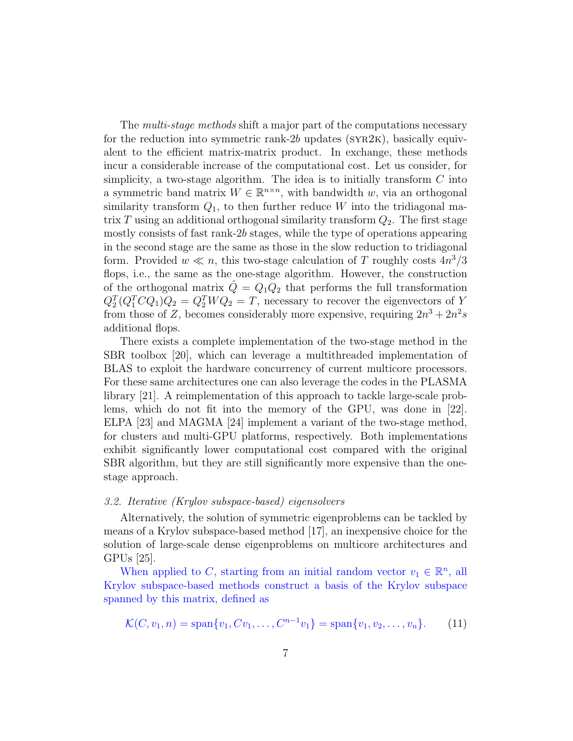The *multi-stage methods* shift a major part of the computations necessary for the reduction into symmetric rank-2b updates ( $SYR2K$ ), basically equivalent to the efficient matrix-matrix product. In exchange, these methods incur a considerable increase of the computational cost. Let us consider, for simplicity, a two-stage algorithm. The idea is to initially transform  $C$  into a symmetric band matrix  $W \in \mathbb{R}^{n \times n}$ , with bandwidth w, via an orthogonal similarity transform  $Q_1$ , to then further reduce W into the tridiagonal matrix T using an additional orthogonal similarity transform  $Q_2$ . The first stage mostly consists of fast rank-2b stages, while the type of operations appearing in the second stage are the same as those in the slow reduction to tridiagonal form. Provided  $w \ll n$ , this two-stage calculation of T roughly costs  $4n^3/3$ flops, i.e., the same as the one-stage algorithm. However, the construction of the orthogonal matrix  $\hat{Q} = Q_1 Q_2$  that performs the full transformation  $Q_2^T(Q_1^T C Q_1) Q_2 = Q_2^T W Q_2 = T$ , necessary to recover the eigenvectors of Y from those of Z, becomes considerably more expensive, requiring  $2n^3 + 2n^2s$ additional flops.

There exists a complete implementation of the two-stage method in the SBR toolbox [20], which can leverage a multithreaded implementation of BLAS to exploit the hardware concurrency of current multicore processors. For these same architectures one can also leverage the codes in the PLASMA library [21]. A reimplementation of this approach to tackle large-scale problems, which do not fit into the memory of the GPU, was done in [22]. ELPA [23] and MAGMA [24] implement a variant of the two-stage method, for clusters and multi-GPU platforms, respectively. Both implementations exhibit significantly lower computational cost compared with the original SBR algorithm, but they are still significantly more expensive than the onestage approach.

#### 3.2. Iterative (Krylov subspace-based) eigensolvers

Alternatively, the solution of symmetric eigenproblems can be tackled by means of a Krylov subspace-based method [17], an inexpensive choice for the solution of large-scale dense eigenproblems on multicore architectures and GPUs [25].

When applied to C, starting from an initial random vector  $v_1 \in \mathbb{R}^n$ , all Krylov subspace-based methods construct a basis of the Krylov subspace spanned by this matrix, defined as

$$
\mathcal{K}(C, v_1, n) = \text{span}\{v_1, Cv_1, \dots, C^{n-1}v_1\} = \text{span}\{v_1, v_2, \dots, v_n\}.
$$
 (11)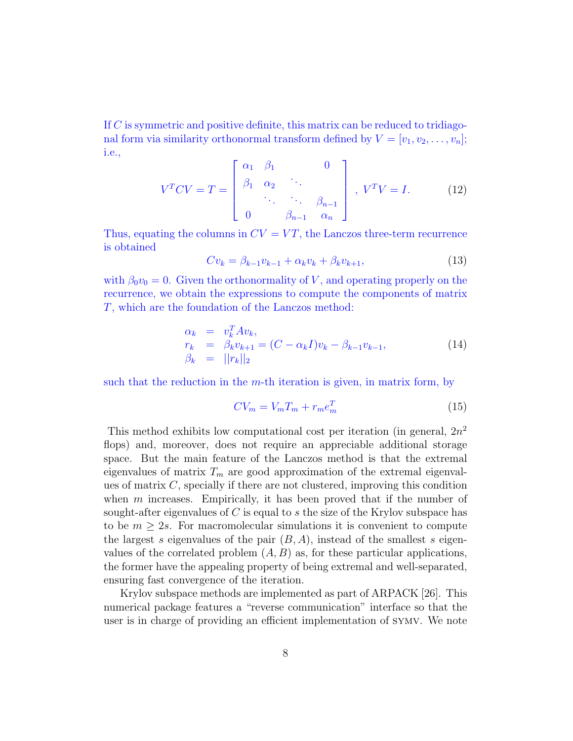If C is symmetric and positive definite, this matrix can be reduced to tridiagonal form via similarity orthonormal transform defined by  $V = [v_1, v_2, \ldots, v_n];$ i.e.,

$$
V^{T}CV = T = \begin{bmatrix} \alpha_{1} & \beta_{1} & & 0 \\ \beta_{1} & \alpha_{2} & \cdots & \\ & \ddots & \ddots & \beta_{n-1} \\ 0 & & \beta_{n-1} & \alpha_{n} \end{bmatrix}, V^{T}V = I.
$$
 (12)

Thus, equating the columns in  $CV = VT$ , the Lanczos three-term recurrence is obtained

$$
Cv_k = \beta_{k-1}v_{k-1} + \alpha_k v_k + \beta_k v_{k+1},
$$
\n(13)

with  $\beta_0 v_0 = 0$ . Given the orthonormality of V, and operating properly on the recurrence, we obtain the expressions to compute the components of matrix T, which are the foundation of the Lanczos method:

$$
\begin{array}{rcl}\n\alpha_k & = & v_k^T A v_k, \\
r_k & = & \beta_k v_{k+1} = (C - \alpha_k I) v_k - \beta_{k-1} v_{k-1}, \\
\beta_k & = & ||r_k||_2\n\end{array} \tag{14}
$$

such that the reduction in the  $m$ -th iteration is given, in matrix form, by

$$
CV_m = V_m T_m + r_m e_m^T \tag{15}
$$

This method exhibits low computational cost per iteration (in general,  $2n^2$ ) flops) and, moreover, does not require an appreciable additional storage space. But the main feature of the Lanczos method is that the extremal eigenvalues of matrix  $T_m$  are good approximation of the extremal eigenvalues of matrix C, specially if there are not clustered, improving this condition when  $m$  increases. Empirically, it has been proved that if the number of sought-after eigenvalues of C is equal to s the size of the Krylov subspace has to be  $m \geq 2s$ . For macromolecular simulations it is convenient to compute the largest s eigenvalues of the pair  $(B, A)$ , instead of the smallest s eigenvalues of the correlated problem  $(A, B)$  as, for these particular applications, the former have the appealing property of being extremal and well-separated, ensuring fast convergence of the iteration.

Krylov subspace methods are implemented as part of ARPACK [26]. This numerical package features a "reverse communication" interface so that the user is in charge of providing an efficient implementation of symv. We note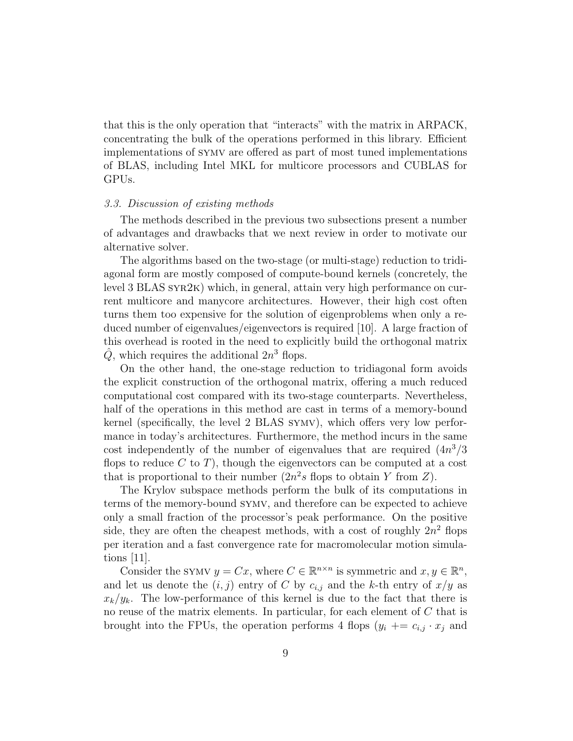that this is the only operation that "interacts" with the matrix in ARPACK, concentrating the bulk of the operations performed in this library. Efficient implementations of symv are offered as part of most tuned implementations of BLAS, including Intel MKL for multicore processors and CUBLAS for GPUs.

#### 3.3. Discussion of existing methods

The methods described in the previous two subsections present a number of advantages and drawbacks that we next review in order to motivate our alternative solver.

The algorithms based on the two-stage (or multi-stage) reduction to tridiagonal form are mostly composed of compute-bound kernels (concretely, the level 3 BLAS syr2k) which, in general, attain very high performance on current multicore and manycore architectures. However, their high cost often turns them too expensive for the solution of eigenproblems when only a reduced number of eigenvalues/eigenvectors is required [10]. A large fraction of this overhead is rooted in the need to explicitly build the orthogonal matrix  $\hat{Q}$ , which requires the additional  $2n^3$  flops.

On the other hand, the one-stage reduction to tridiagonal form avoids the explicit construction of the orthogonal matrix, offering a much reduced computational cost compared with its two-stage counterparts. Nevertheless, half of the operations in this method are cast in terms of a memory-bound kernel (specifically, the level 2 BLAS symv), which offers very low performance in today's architectures. Furthermore, the method incurs in the same cost independently of the number of eigenvalues that are required  $(4n^3/3)$ flops to reduce  $C$  to  $T$ ), though the eigenvectors can be computed at a cost that is proportional to their number  $(2n^2s)$  flops to obtain Y from Z).

The Krylov subspace methods perform the bulk of its computations in terms of the memory-bound symv, and therefore can be expected to achieve only a small fraction of the processor's peak performance. On the positive side, they are often the cheapest methods, with a cost of roughly  $2n^2$  flops per iteration and a fast convergence rate for macromolecular motion simulations [11].

Consider the SYMV  $y = Cx$ , where  $C \in \mathbb{R}^{n \times n}$  is symmetric and  $x, y \in \mathbb{R}^n$ , and let us denote the  $(i, j)$  entry of C by  $c_{i,j}$  and the k-th entry of  $x/y$  as  $x_k/y_k$ . The low-performance of this kernel is due to the fact that there is no reuse of the matrix elements. In particular, for each element of C that is brought into the FPUs, the operation performs 4 flops  $(y_i \rightarrow e_{i,j} \cdot x_j)$  and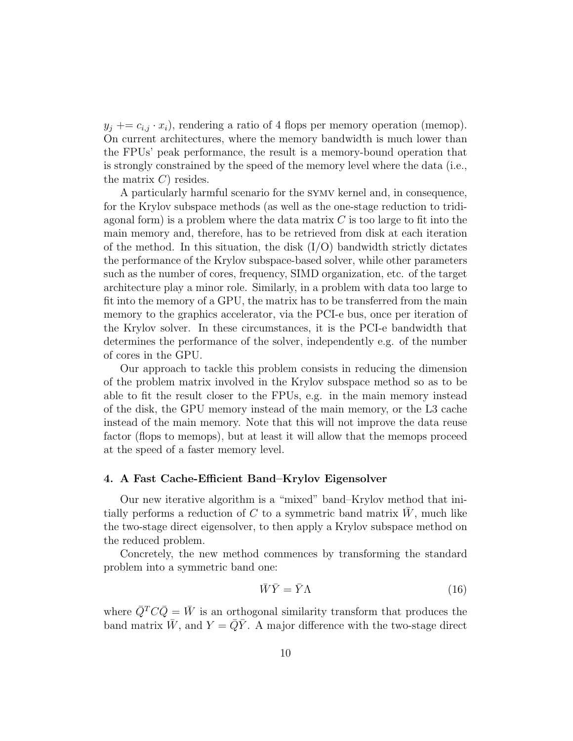$y_j \rightarrow y_i + z_{i,j} \cdot x_i$ , rendering a ratio of 4 flops per memory operation (memop). On current architectures, where the memory bandwidth is much lower than the FPUs' peak performance, the result is a memory-bound operation that is strongly constrained by the speed of the memory level where the data (i.e., the matrix  $C$ ) resides.

A particularly harmful scenario for the symv kernel and, in consequence, for the Krylov subspace methods (as well as the one-stage reduction to tridiagonal form) is a problem where the data matrix  $C$  is too large to fit into the main memory and, therefore, has to be retrieved from disk at each iteration of the method. In this situation, the disk  $(I/O)$  bandwidth strictly dictates the performance of the Krylov subspace-based solver, while other parameters such as the number of cores, frequency, SIMD organization, etc. of the target architecture play a minor role. Similarly, in a problem with data too large to fit into the memory of a GPU, the matrix has to be transferred from the main memory to the graphics accelerator, via the PCI-e bus, once per iteration of the Krylov solver. In these circumstances, it is the PCI-e bandwidth that determines the performance of the solver, independently e.g. of the number of cores in the GPU.

Our approach to tackle this problem consists in reducing the dimension of the problem matrix involved in the Krylov subspace method so as to be able to fit the result closer to the FPUs, e.g. in the main memory instead of the disk, the GPU memory instead of the main memory, or the L3 cache instead of the main memory. Note that this will not improve the data reuse factor (flops to memops), but at least it will allow that the memops proceed at the speed of a faster memory level.

#### 4. A Fast Cache-Efficient Band–Krylov Eigensolver

Our new iterative algorithm is a "mixed" band–Krylov method that initially performs a reduction of  $C$  to a symmetric band matrix  $W$ , much like the two-stage direct eigensolver, to then apply a Krylov subspace method on the reduced problem.

Concretely, the new method commences by transforming the standard problem into a symmetric band one:

$$
\bar{W}\bar{Y} = \bar{Y}\Lambda \tag{16}
$$

where  $\overline{Q}^T C \overline{Q} = \overline{W}$  is an orthogonal similarity transform that produces the band matrix  $\bar{W}$ , and  $Y = \bar{Q}\bar{Y}$ . A major difference with the two-stage direct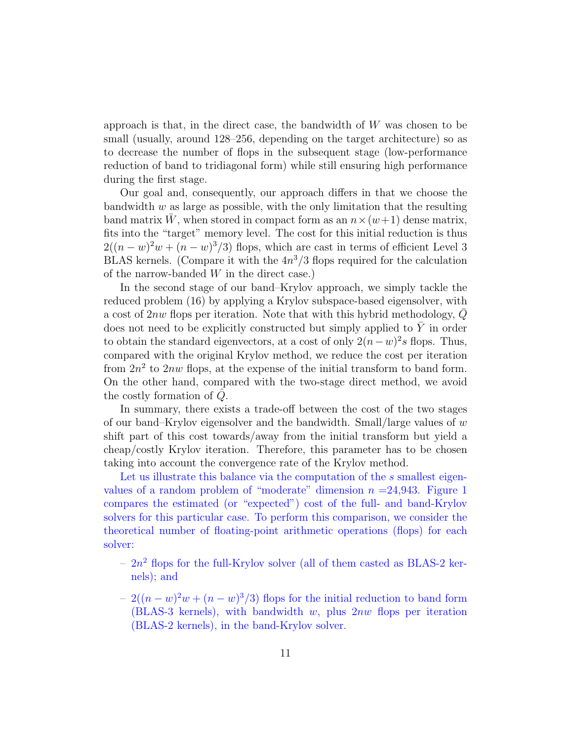approach is that, in the direct case, the bandwidth of  $W$  was chosen to be small (usually, around 128–256, depending on the target architecture) so as to decrease the number of flops in the subsequent stage (low-performance reduction of band to tridiagonal form) while still ensuring high performance during the first stage.

Our goal and, consequently, our approach differs in that we choose the bandwidth  $w$  as large as possible, with the only limitation that the resulting band matrix W, when stored in compact form as an  $n \times (w+1)$  dense matrix, fits into the "target" memory level. The cost for this initial reduction is thus  $2((n-w)^2w + (n-w)^3/3)$  flops, which are cast in terms of efficient Level 3 BLAS kernels. (Compare it with the  $4n^3/3$  flops required for the calculation of the narrow-banded  $W$  in the direct case.)

In the second stage of our band–Krylov approach, we simply tackle the reduced problem (16) by applying a Krylov subspace-based eigensolver, with a cost of 2nw flops per iteration. Note that with this hybrid methodology,  $\overline{Q}$ does not need to be explicitly constructed but simply applied to  $\overline{Y}$  in order to obtain the standard eigenvectors, at a cost of only  $2(n-w)^2s$  flops. Thus, compared with the original Krylov method, we reduce the cost per iteration from  $2n^2$  to  $2nw$  flops, at the expense of the initial transform to band form. On the other hand, compared with the two-stage direct method, we avoid the costly formation of  $\ddot{Q}$ .

In summary, there exists a trade-off between the cost of the two stages of our band–Krylov eigensolver and the bandwidth. Small/large values of  $w$ shift part of this cost towards/away from the initial transform but yield a cheap/costly Krylov iteration. Therefore, this parameter has to be chosen taking into account the convergence rate of the Krylov method.

Let us illustrate this balance via the computation of the s smallest eigenvalues of a random problem of "moderate" dimension  $n = 24,943$ . Figure 1 compares the estimated (or "expected") cost of the full- and band-Krylov solvers for this particular case. To perform this comparison, we consider the theoretical number of floating-point arithmetic operations (flops) for each solver:

- $-2n^2$  flops for the full-Krylov solver (all of them casted as BLAS-2 kernels); and
- $-2((n-w)^2w+(n-w)^3/3)$  flops for the initial reduction to band form (BLAS-3 kernels), with bandwidth  $w$ , plus  $2nw$  flops per iteration (BLAS-2 kernels), in the band-Krylov solver.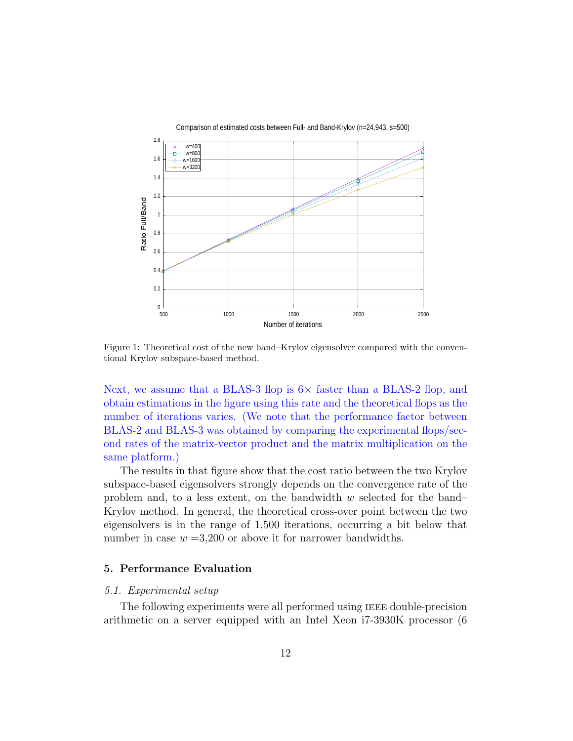

Figure 1: Theoretical cost of the new band–Krylov eigensolver compared with the conventional Krylov subspace-based method.

Next, we assume that a BLAS-3 flop is  $6\times$  faster than a BLAS-2 flop, and obtain estimations in the figure using this rate and the theoretical flops as the number of iterations varies. (We note that the performance factor between BLAS-2 and BLAS-3 was obtained by comparing the experimental flops/second rates of the matrix-vector product and the matrix multiplication on the same platform.)

The results in that figure show that the cost ratio between the two Krylov subspace-based eigensolvers strongly depends on the convergence rate of the problem and, to a less extent, on the bandwidth  $w$  selected for the band– Krylov method. In general, the theoretical cross-over point between the two eigensolvers is in the range of 1,500 iterations, occurring a bit below that number in case  $w = 3,200$  or above it for narrower bandwidths.

## 5. Performance Evaluation

#### 5.1. Experimental setup

The following experiments were all performed using IEEE double-precision arithmetic on a server equipped with an Intel Xeon i7-3930K processor (6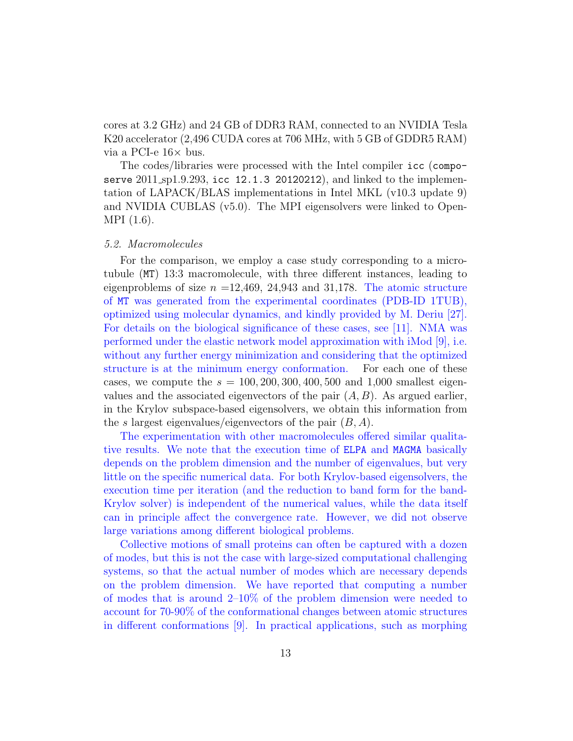cores at 3.2 GHz) and 24 GB of DDR3 RAM, connected to an NVIDIA Tesla K20 accelerator (2,496 CUDA cores at 706 MHz, with 5 GB of GDDR5 RAM) via a PCI-e  $16\times$  bus.

The codes/libraries were processed with the Intel compiler icc (composerve 2011 sp1.9.293, icc 12.1.3 20120212), and linked to the implementation of LAPACK/BLAS implementations in Intel MKL (v10.3 update 9) and NVIDIA CUBLAS (v5.0). The MPI eigensolvers were linked to Open-MPI (1.6).

#### 5.2. Macromolecules

For the comparison, we employ a case study corresponding to a microtubule (MT) 13:3 macromolecule, with three different instances, leading to eigenproblems of size  $n = 12,469, 24,943$  and 31,178. The atomic structure of MT was generated from the experimental coordinates (PDB-ID 1TUB), optimized using molecular dynamics, and kindly provided by M. Deriu [27]. For details on the biological significance of these cases, see [11]. NMA was performed under the elastic network model approximation with iMod [9], i.e. without any further energy minimization and considering that the optimized structure is at the minimum energy conformation. For each one of these cases, we compute the  $s = 100, 200, 300, 400, 500$  and 1,000 smallest eigenvalues and the associated eigenvectors of the pair  $(A, B)$ . As argued earlier, in the Krylov subspace-based eigensolvers, we obtain this information from the s largest eigenvalues/eigenvectors of the pair  $(B, A)$ .

The experimentation with other macromolecules offered similar qualitative results. We note that the execution time of ELPA and MAGMA basically depends on the problem dimension and the number of eigenvalues, but very little on the specific numerical data. For both Krylov-based eigensolvers, the execution time per iteration (and the reduction to band form for the band-Krylov solver) is independent of the numerical values, while the data itself can in principle affect the convergence rate. However, we did not observe large variations among different biological problems.

Collective motions of small proteins can often be captured with a dozen of modes, but this is not the case with large-sized computational challenging systems, so that the actual number of modes which are necessary depends on the problem dimension. We have reported that computing a number of modes that is around  $2\n-10\%$  of the problem dimension were needed to account for 70-90% of the conformational changes between atomic structures in different conformations [9]. In practical applications, such as morphing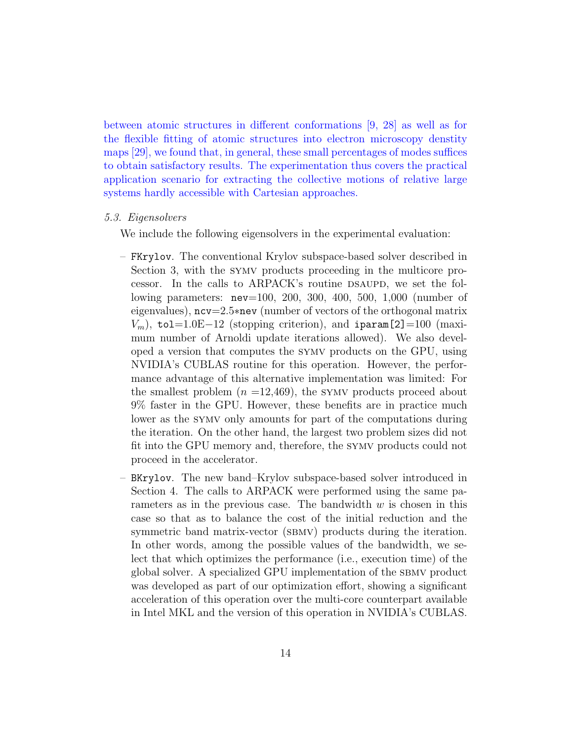between atomic structures in different conformations [9, 28] as well as for the flexible fitting of atomic structures into electron microscopy denstity maps [29], we found that, in general, these small percentages of modes suffices to obtain satisfactory results. The experimentation thus covers the practical application scenario for extracting the collective motions of relative large systems hardly accessible with Cartesian approaches.

#### 5.3. Eigensolvers

We include the following eigensolvers in the experimental evaluation:

- FKrylov. The conventional Krylov subspace-based solver described in Section 3, with the symv products proceeding in the multicore processor. In the calls to ARPACK's routine DSAUPD, we set the following parameters: nev=100, 200, 300, 400, 500, 1,000 (number of eigenvalues), ncv=2.5∗nev (number of vectors of the orthogonal matrix  $V_m$ ), tol=1.0E−12 (stopping criterion), and iparam[2]=100 (maximum number of Arnoldi update iterations allowed). We also developed a version that computes the symv products on the GPU, using NVIDIA's CUBLAS routine for this operation. However, the performance advantage of this alternative implementation was limited: For the smallest problem  $(n = 12,469)$ , the SYMV products proceed about 9% faster in the GPU. However, these benefits are in practice much lower as the symv only amounts for part of the computations during the iteration. On the other hand, the largest two problem sizes did not fit into the GPU memory and, therefore, the symv products could not proceed in the accelerator.
- BKrylov. The new band–Krylov subspace-based solver introduced in Section 4. The calls to ARPACK were performed using the same parameters as in the previous case. The bandwidth  $w$  is chosen in this case so that as to balance the cost of the initial reduction and the symmetric band matrix-vector (SBMV) products during the iteration. In other words, among the possible values of the bandwidth, we select that which optimizes the performance (i.e., execution time) of the global solver. A specialized GPU implementation of the sbmv product was developed as part of our optimization effort, showing a significant acceleration of this operation over the multi-core counterpart available in Intel MKL and the version of this operation in NVIDIA's CUBLAS.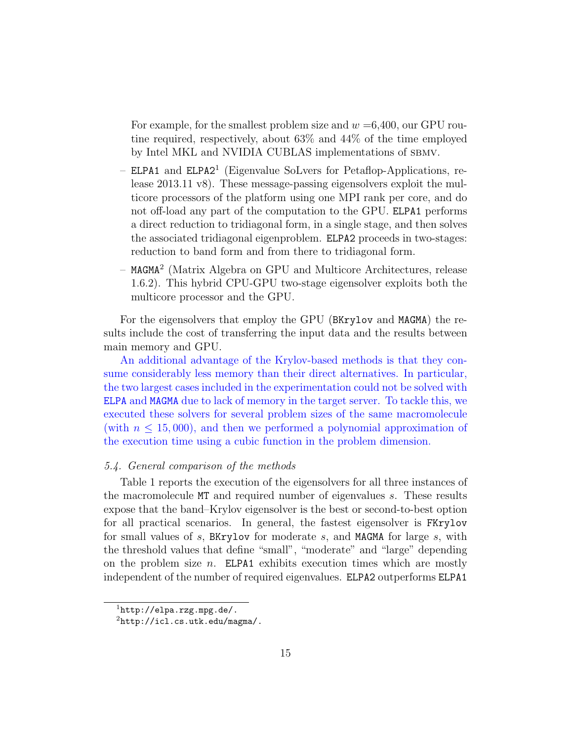For example, for the smallest problem size and  $w = 6,400$ , our GPU routine required, respectively, about 63% and 44% of the time employed by Intel MKL and NVIDIA CUBLAS implementations of SBMV.

- ELPA1 and ELPA2<sup>1</sup> (Eigenvalue SoLvers for Petaflop-Applications, release 2013.11 v8). These message-passing eigensolvers exploit the multicore processors of the platform using one MPI rank per core, and do not off-load any part of the computation to the GPU. ELPA1 performs a direct reduction to tridiagonal form, in a single stage, and then solves the associated tridiagonal eigenproblem. ELPA2 proceeds in two-stages: reduction to band form and from there to tridiagonal form.
- MAGMA<sup>2</sup> (Matrix Algebra on GPU and Multicore Architectures, release 1.6.2). This hybrid CPU-GPU two-stage eigensolver exploits both the multicore processor and the GPU.

For the eigensolvers that employ the GPU (BKrylov and MAGMA) the results include the cost of transferring the input data and the results between main memory and GPU.

An additional advantage of the Krylov-based methods is that they consume considerably less memory than their direct alternatives. In particular, the two largest cases included in the experimentation could not be solved with ELPA and MAGMA due to lack of memory in the target server. To tackle this, we executed these solvers for several problem sizes of the same macromolecule (with  $n \leq 15,000$ ), and then we performed a polynomial approximation of the execution time using a cubic function in the problem dimension.

## 5.4. General comparison of the methods

Table 1 reports the execution of the eigensolvers for all three instances of the macromolecule MT and required number of eigenvalues s. These results expose that the band–Krylov eigensolver is the best or second-to-best option for all practical scenarios. In general, the fastest eigensolver is FKrylov for small values of s, BKrylov for moderate s, and MAGMA for large s, with the threshold values that define "small", "moderate" and "large" depending on the problem size  $n$ . ELPA1 exhibits execution times which are mostly independent of the number of required eigenvalues. ELPA2 outperforms ELPA1

 $1$ http://elpa.rzg.mpg.de/.

 $^{2}$ http://icl.cs.utk.edu/magma/.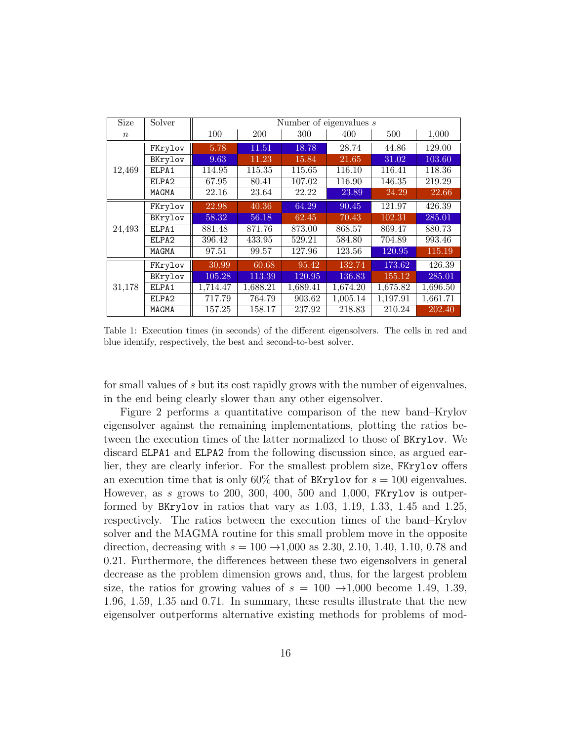| <b>Size</b> | Solver            | Number of eigenvalues $s$ |          |          |          |          |          |
|-------------|-------------------|---------------------------|----------|----------|----------|----------|----------|
| $\, n$      |                   | 100                       | 200      | 300      | 400      | 500      | 1,000    |
| 12,469      | FKrylov           | 5.78                      | 11.51    | 18.78    | 28.74    | 44.86    | 129.00   |
|             | BKrylov           | 9.63                      | 11.23    | 15.84    | 21.65    | 31.02    | 103.60   |
|             | ELPA1             | 114.95                    | 115.35   | 115.65   | 116.10   | 116.41   | 118.36   |
|             | ELPA2             | 67.95                     | 80.41    | 107.02   | 116.90   | 146.35   | 219.29   |
|             | MAGMA             | 22.16                     | 23.64    | 22.22    | 23.89    | 24.29    | 22.66    |
| 24,493      | FKrylov           | 22.98                     | 40.36    | 64.29    | 90.45    | 121.97   | 426.39   |
|             | BKrylov           | 58.32                     | 56.18    | 62.45    | 70.43    | 102.31   | 285.01   |
|             | ELPA1             | 881.48                    | 871.76   | 873.00   | 868.57   | 869.47   | 880.73   |
|             | ELPA <sub>2</sub> | 396.42                    | 433.95   | 529.21   | 584.80   | 704.89   | 993.46   |
|             | MAGMA             | 97.51                     | 99.57    | 127.96   | 123.56   | 120.95   | 115.19   |
| 31,178      | FKrylov           | 30.99                     | 60.68    | 95.42    | 132.74   | 173.62   | 426.39   |
|             | BKrylov           | 105.28                    | 113.39   | 120.95   | 136.83   | 155.12   | 285.01   |
|             | ELPA1             | 1,714.47                  | 1,688.21 | 1,689.41 | 1,674.20 | 1,675.82 | 1,696.50 |
|             | ELPA2             | 717.79                    | 764.79   | 903.62   | 1,005.14 | 1,197.91 | 1,661.71 |
|             | MAGMA             | 157.25                    | 158.17   | 237.92   | 218.83   | 210.24   | 202.40   |

Table 1: Execution times (in seconds) of the different eigensolvers. The cells in red and blue identify, respectively, the best and second-to-best solver.

for small values of s but its cost rapidly grows with the number of eigenvalues, in the end being clearly slower than any other eigensolver.

Figure 2 performs a quantitative comparison of the new band–Krylov eigensolver against the remaining implementations, plotting the ratios between the execution times of the latter normalized to those of BKrylov. We discard ELPA1 and ELPA2 from the following discussion since, as argued earlier, they are clearly inferior. For the smallest problem size, FKrylov offers an execution time that is only 60% that of BKrylov for  $s = 100$  eigenvalues. However, as s grows to 200, 300, 400, 500 and 1,000, FKrylov is outperformed by BKrylov in ratios that vary as 1.03, 1.19, 1.33, 1.45 and 1.25, respectively. The ratios between the execution times of the band–Krylov solver and the MAGMA routine for this small problem move in the opposite direction, decreasing with  $s = 100 \rightarrow 1,000$  as 2.30, 2.10, 1.40, 1.10, 0.78 and 0.21. Furthermore, the differences between these two eigensolvers in general decrease as the problem dimension grows and, thus, for the largest problem size, the ratios for growing values of  $s = 100 \rightarrow 1,000$  become 1.49, 1.39, 1.96, 1.59, 1.35 and 0.71. In summary, these results illustrate that the new eigensolver outperforms alternative existing methods for problems of mod-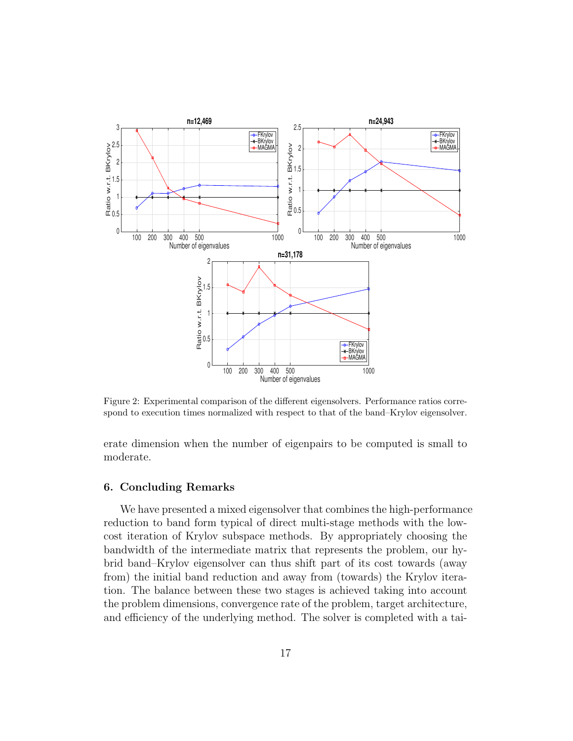

Figure 2: Experimental comparison of the different eigensolvers. Performance ratios correspond to execution times normalized with respect to that of the band–Krylov eigensolver.

erate dimension when the number of eigenpairs to be computed is small to moderate.

#### 6. Concluding Remarks

We have presented a mixed eigensolver that combines the high-performance reduction to band form typical of direct multi-stage methods with the lowcost iteration of Krylov subspace methods. By appropriately choosing the bandwidth of the intermediate matrix that represents the problem, our hybrid band–Krylov eigensolver can thus shift part of its cost towards (away from) the initial band reduction and away from (towards) the Krylov iteration. The balance between these two stages is achieved taking into account the problem dimensions, convergence rate of the problem, target architecture, and efficiency of the underlying method. The solver is completed with a tai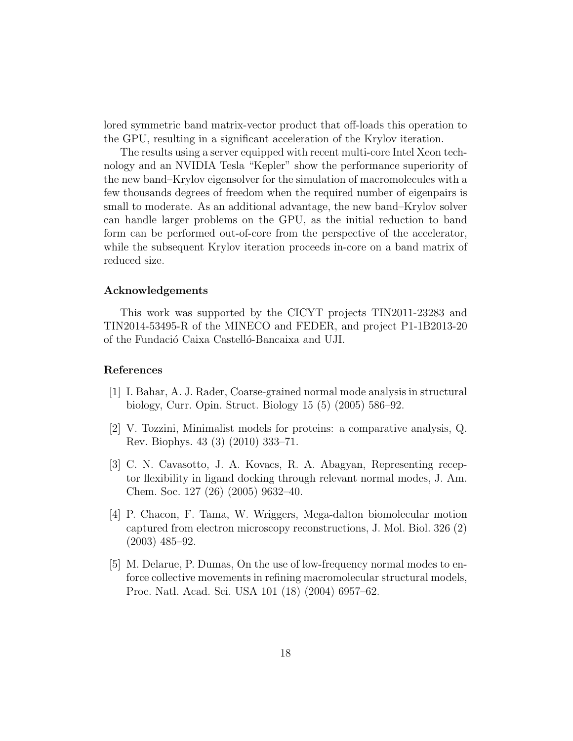lored symmetric band matrix-vector product that off-loads this operation to the GPU, resulting in a significant acceleration of the Krylov iteration.

The results using a server equipped with recent multi-core Intel Xeon technology and an NVIDIA Tesla "Kepler" show the performance superiority of the new band–Krylov eigensolver for the simulation of macromolecules with a few thousands degrees of freedom when the required number of eigenpairs is small to moderate. As an additional advantage, the new band–Krylov solver can handle larger problems on the GPU, as the initial reduction to band form can be performed out-of-core from the perspective of the accelerator, while the subsequent Krylov iteration proceeds in-core on a band matrix of reduced size.

#### Acknowledgements

This work was supported by the CICYT projects TIN2011-23283 and TIN2014-53495-R of the MINECO and FEDER, and project P1-1B2013-20 of the Fundació Caixa Castelló-Bancaixa and UJI.

## References

- [1] I. Bahar, A. J. Rader, Coarse-grained normal mode analysis in structural biology, Curr. Opin. Struct. Biology 15 (5) (2005) 586–92.
- [2] V. Tozzini, Minimalist models for proteins: a comparative analysis, Q. Rev. Biophys. 43 (3) (2010) 333–71.
- [3] C. N. Cavasotto, J. A. Kovacs, R. A. Abagyan, Representing receptor flexibility in ligand docking through relevant normal modes, J. Am. Chem. Soc. 127 (26) (2005) 9632–40.
- [4] P. Chacon, F. Tama, W. Wriggers, Mega-dalton biomolecular motion captured from electron microscopy reconstructions, J. Mol. Biol. 326 (2) (2003) 485–92.
- [5] M. Delarue, P. Dumas, On the use of low-frequency normal modes to enforce collective movements in refining macromolecular structural models, Proc. Natl. Acad. Sci. USA 101 (18) (2004) 6957–62.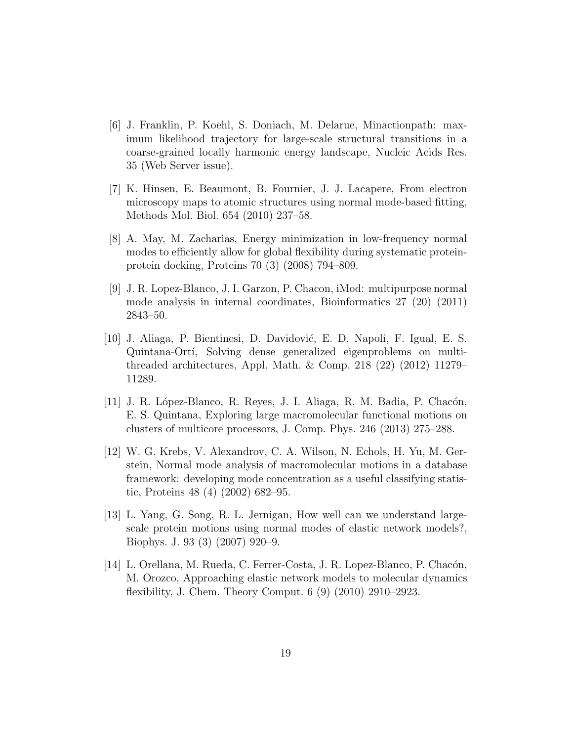- [6] J. Franklin, P. Koehl, S. Doniach, M. Delarue, Minactionpath: maximum likelihood trajectory for large-scale structural transitions in a coarse-grained locally harmonic energy landscape, Nucleic Acids Res. 35 (Web Server issue).
- [7] K. Hinsen, E. Beaumont, B. Fournier, J. J. Lacapere, From electron microscopy maps to atomic structures using normal mode-based fitting, Methods Mol. Biol. 654 (2010) 237–58.
- [8] A. May, M. Zacharias, Energy minimization in low-frequency normal modes to efficiently allow for global flexibility during systematic proteinprotein docking, Proteins 70 (3) (2008) 794–809.
- [9] J. R. Lopez-Blanco, J. I. Garzon, P. Chacon, iMod: multipurpose normal mode analysis in internal coordinates, Bioinformatics 27 (20) (2011) 2843–50.
- [10] J. Aliaga, P. Bientinesi, D. Davidović, E. D. Napoli, F. Igual, E. S. Quintana-Ortí, Solving dense generalized eigenproblems on multithreaded architectures, Appl. Math. & Comp. 218 (22) (2012) 11279– 11289.
- [11] J. R. López-Blanco, R. Reyes, J. I. Aliaga, R. M. Badia, P. Chacón, E. S. Quintana, Exploring large macromolecular functional motions on clusters of multicore processors, J. Comp. Phys. 246 (2013) 275–288.
- [12] W. G. Krebs, V. Alexandrov, C. A. Wilson, N. Echols, H. Yu, M. Gerstein, Normal mode analysis of macromolecular motions in a database framework: developing mode concentration as a useful classifying statistic, Proteins 48 (4) (2002) 682–95.
- [13] L. Yang, G. Song, R. L. Jernigan, How well can we understand largescale protein motions using normal modes of elastic network models?, Biophys. J. 93 (3) (2007) 920–9.
- [14] L. Orellana, M. Rueda, C. Ferrer-Costa, J. R. Lopez-Blanco, P. Chacón, M. Orozco, Approaching elastic network models to molecular dynamics flexibility, J. Chem. Theory Comput. 6 (9) (2010) 2910–2923.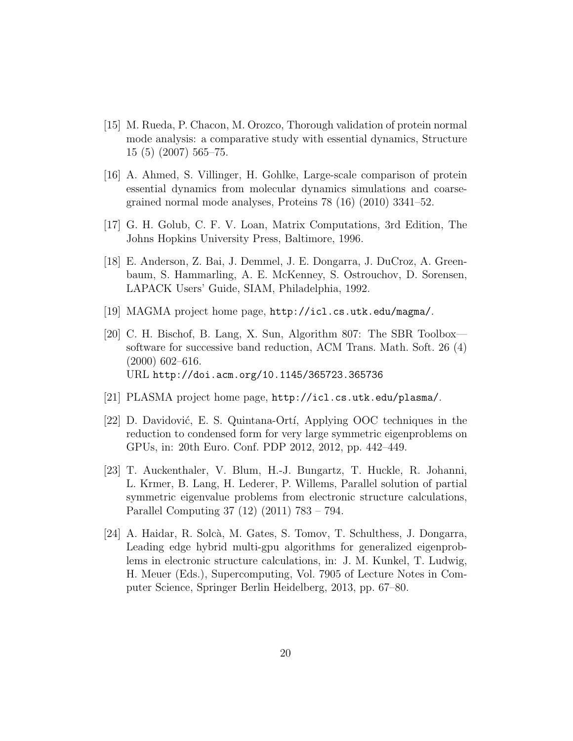- [15] M. Rueda, P. Chacon, M. Orozco, Thorough validation of protein normal mode analysis: a comparative study with essential dynamics, Structure 15 (5) (2007) 565–75.
- [16] A. Ahmed, S. Villinger, H. Gohlke, Large-scale comparison of protein essential dynamics from molecular dynamics simulations and coarsegrained normal mode analyses, Proteins 78 (16) (2010) 3341–52.
- [17] G. H. Golub, C. F. V. Loan, Matrix Computations, 3rd Edition, The Johns Hopkins University Press, Baltimore, 1996.
- [18] E. Anderson, Z. Bai, J. Demmel, J. E. Dongarra, J. DuCroz, A. Greenbaum, S. Hammarling, A. E. McKenney, S. Ostrouchov, D. Sorensen, LAPACK Users' Guide, SIAM, Philadelphia, 1992.
- [19] MAGMA project home page, http://icl.cs.utk.edu/magma/.
- [20] C. H. Bischof, B. Lang, X. Sun, Algorithm 807: The SBR Toolbox software for successive band reduction, ACM Trans. Math. Soft. 26 (4) (2000) 602–616. URL http://doi.acm.org/10.1145/365723.365736
- [21] PLASMA project home page, http://icl.cs.utk.edu/plasma/.
- [22] D. Davidović, E. S. Quintana-Ortí, Applying OOC techniques in the reduction to condensed form for very large symmetric eigenproblems on GPUs, in: 20th Euro. Conf. PDP 2012, 2012, pp. 442–449.
- [23] T. Auckenthaler, V. Blum, H.-J. Bungartz, T. Huckle, R. Johanni, L. Krmer, B. Lang, H. Lederer, P. Willems, Parallel solution of partial symmetric eigenvalue problems from electronic structure calculations, Parallel Computing 37 (12) (2011) 783 – 794.
- [24] A. Haidar, R. Solcà, M. Gates, S. Tomov, T. Schulthess, J. Dongarra, Leading edge hybrid multi-gpu algorithms for generalized eigenproblems in electronic structure calculations, in: J. M. Kunkel, T. Ludwig, H. Meuer (Eds.), Supercomputing, Vol. 7905 of Lecture Notes in Computer Science, Springer Berlin Heidelberg, 2013, pp. 67–80.